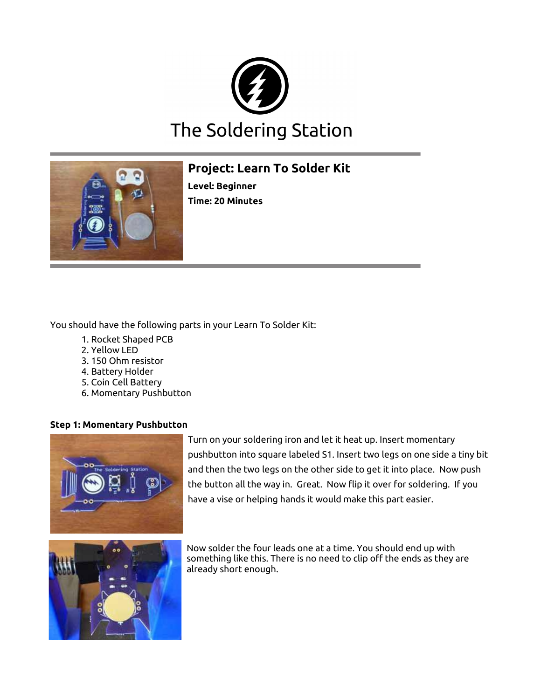



# **Project: Learn To Solder Kit**

**Level: Beginner Time: 20 Minutes**

You should have the following parts in your Learn To Solder Kit:

- 1. Rocket Shaped PCB
- 2. Yellow LED
- 3. 150 Ohm resistor
- 4. Battery Holder
- 5. Coin Cell Battery
- 6. Momentary Pushbutton

### **Step 1: Momentary Pushbutton**



Turn on your soldering iron and let it heat up. Insert momentary pushbutton into square labeled S1. Insert two legs on one side a tiny bit and then the two legs on the other side to get it into place. Now push the button all the way in. Great. Now fip it over for soldering. If you have a vise or helping hands it would make this part easier.



Now solder the four leads one at a time. You should end up with something like this. There is no need to clip off the ends as they are already short enough.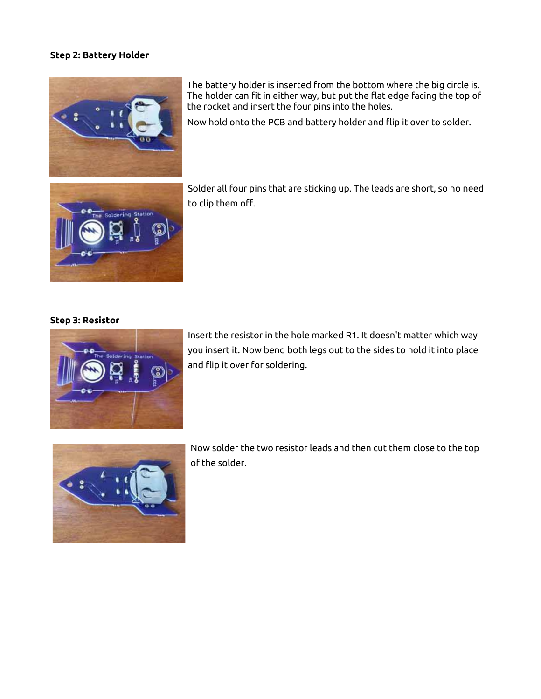### **Step 2: Battery Holder**



The battery holder is inserted from the bottom where the big circle is. The holder can fit in either way, but put the flat edge facing the top of the rocket and insert the four pins into the holes.

Now hold onto the PCB and battery holder and fip it over to solder.



Solder all four pins that are sticking up. The leads are short, so no need to clip them off.

## **Step 3: Resistor**



Insert the resistor in the hole marked R1. It doesn't matter which way you insert it. Now bend both legs out to the sides to hold it into place and fip it over for soldering.



Now solder the two resistor leads and then cut them close to the top of the solder.